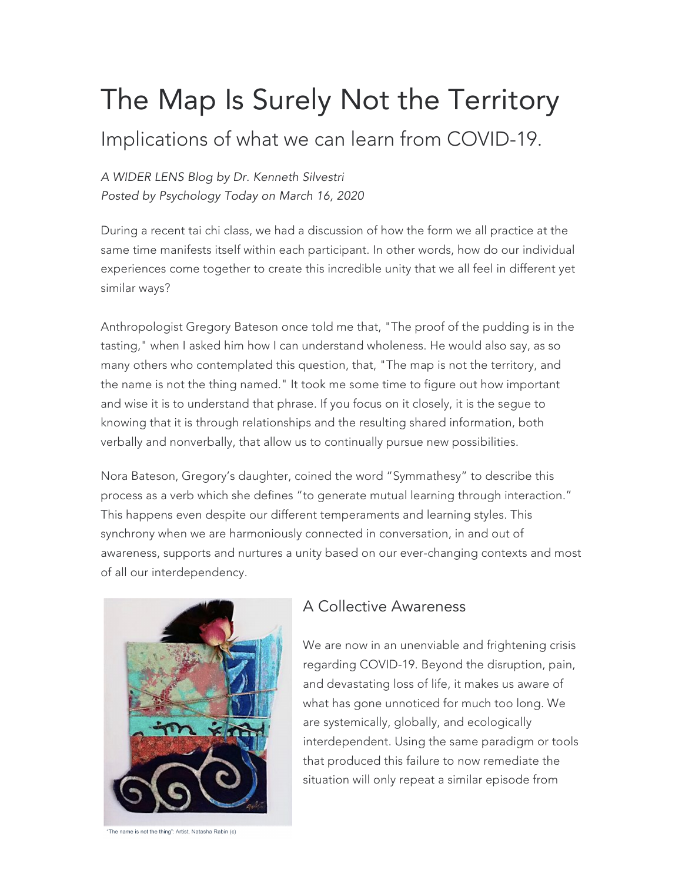# The Map Is Surely Not the Territory

## Implications of what we can learn from COVID-19.

*A WIDER LENS Blog by Dr. Kenneth Silvestri Posted by Psychology Today on March 16, 2020*

During a recent tai chi class, we had a discussion of how the form we all practice at the same time manifests itself within each participant. In other words, how do our individual experiences come together to create this incredible unity that we all feel in different yet similar ways?

Anthropologist Gregory Bateson once told me that, "The proof of the pudding is in the tasting," when I asked him how I can understand wholeness. He would also say, as so many others who contemplated this question, that, "The map is not the territory, and the name is not the thing named." It took me some time to figure out how important and wise it is to understand that phrase. If you focus on it closely, it is the segue to knowing that it is through relationships and the resulting shared information, both verbally and nonverbally, that allow us to continually pursue new possibilities.

Nora Bateson, Gregory's daughter, coined the word "Symmathesy" to describe this process as a verb which she defines "to generate mutual learning through interaction." This happens even despite our different temperaments and learning styles. This synchrony when we are harmoniously connected in conversation, in and out of awareness, supports and nurtures a unity based on our ever-changing contexts and most of all our interdependency.



#### A Collective Awareness

We are now in an unenviable and frightening crisis regarding COVID-19. Beyond the disruption, pain, and devastating loss of life, it makes us aware of what has gone unnoticed for much too long. We are systemically, globally, and ecologically interdependent. Using the same paradigm or tools that produced this failure to now remediate the situation will only repeat a similar episode from

The name is not the thing": Artist, Natasha Rabin (c)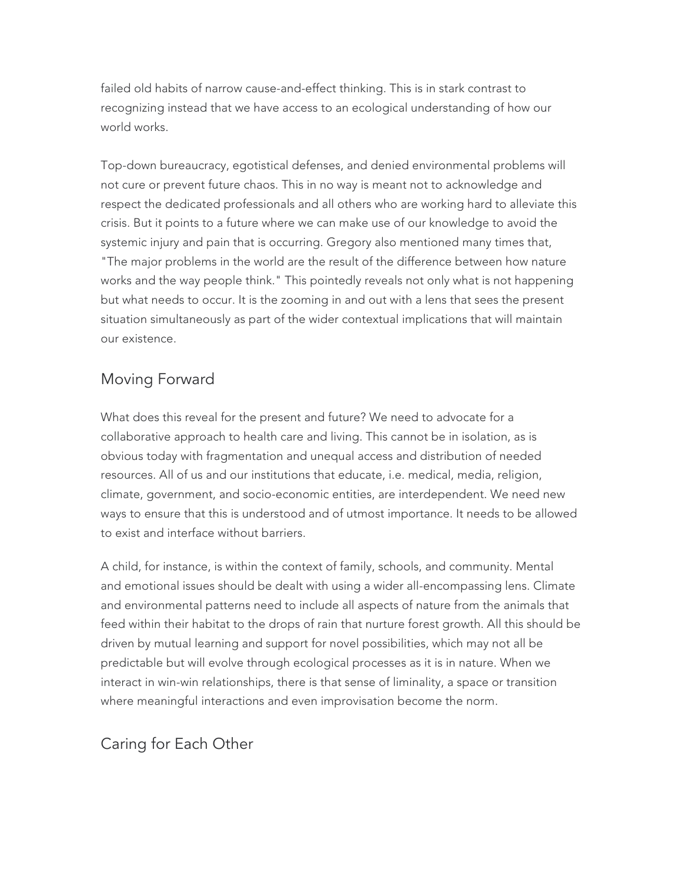failed old habits of narrow cause-and-effect thinking. This is in stark contrast to recognizing instead that we have access to an ecological understanding of how our world works.

Top-down bureaucracy, egotistical defenses, and denied environmental problems will not cure or prevent future chaos. This in no way is meant not to acknowledge and respect the dedicated professionals and all others who are working hard to alleviate this crisis. But it points to a future where we can make use of our knowledge to avoid the systemic injury and pain that is occurring. Gregory also mentioned many times that, "The major problems in the world are the result of the difference between how nature works and the way people think." This pointedly reveals not only what is not happening but what needs to occur. It is the zooming in and out with a lens that sees the present situation simultaneously as part of the wider contextual implications that will maintain our existence.

### Moving Forward

What does this reveal for the present and future? We need to advocate for a collaborative approach to health care and living. This cannot be in isolation, as is obvious today with fragmentation and unequal access and distribution of needed resources. All of us and our institutions that educate, i.e. medical, media, religion, climate, government, and socio-economic entities, are interdependent. We need new ways to ensure that this is understood and of utmost importance. It needs to be allowed to exist and interface without barriers.

A child, for instance, is within the context of family, schools, and community. Mental and emotional issues should be dealt with using a wider all-encompassing lens. Climate and environmental patterns need to include all aspects of nature from the animals that feed within their habitat to the drops of rain that nurture forest growth. All this should be driven by mutual learning and support for novel possibilities, which may not all be predictable but will evolve through ecological processes as it is in nature. When we interact in win-win relationships, there is that sense of liminality, a space or transition where meaningful interactions and even improvisation become the norm.

#### Caring for Each Other